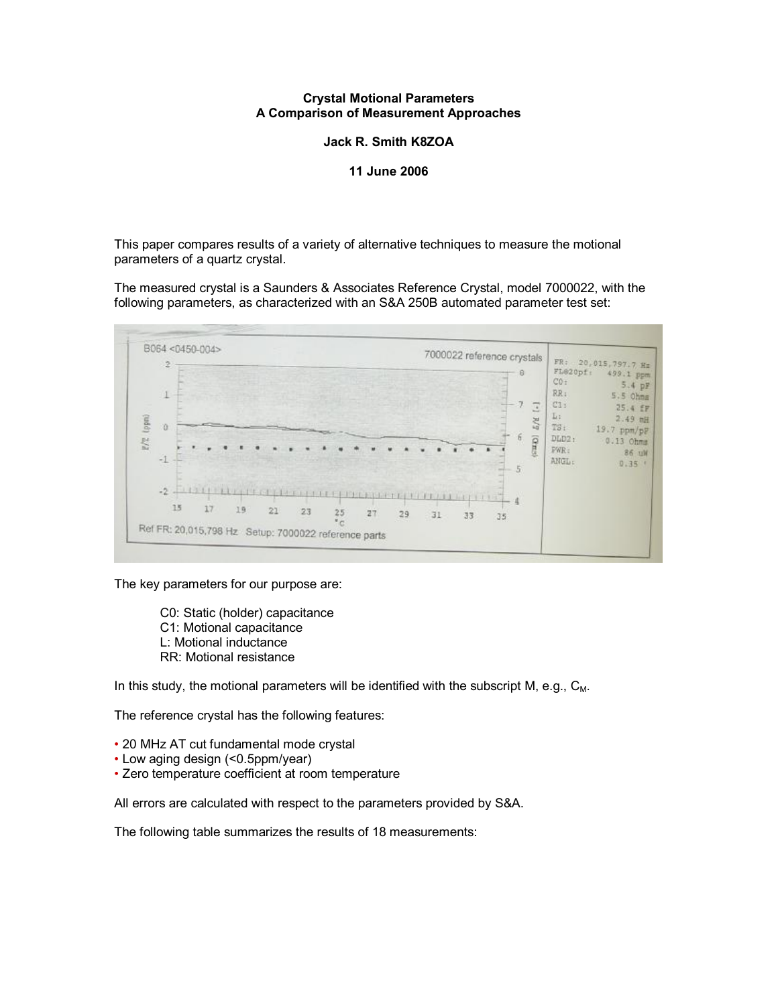#### **Crystal Motional Parameters A Comparison of Measurement Approaches**

**Jack R. Smith K8ZOA** 

#### **11 June 2006**

This paper compares results of a variety of alternative techniques to measure the motional parameters of a quartz crystal.

The measured crystal is a Saunders & Associates Reference Crystal, model 7000022, with the following parameters, as characterized with an S&A 250B automated parameter test set:



The key parameters for our purpose are:

C0: Static (holder) capacitance C1: Motional capacitance L: Motional inductance RR: Motional resistance

In this study, the motional parameters will be identified with the subscript M, e.g.,  $C_M$ .

The reference crystal has the following features:

- 20 MHz AT cut fundamental mode crystal
- Low aging design (<0.5ppm/year)
- Zero temperature coefficient at room temperature

All errors are calculated with respect to the parameters provided by S&A.

The following table summarizes the results of 18 measurements: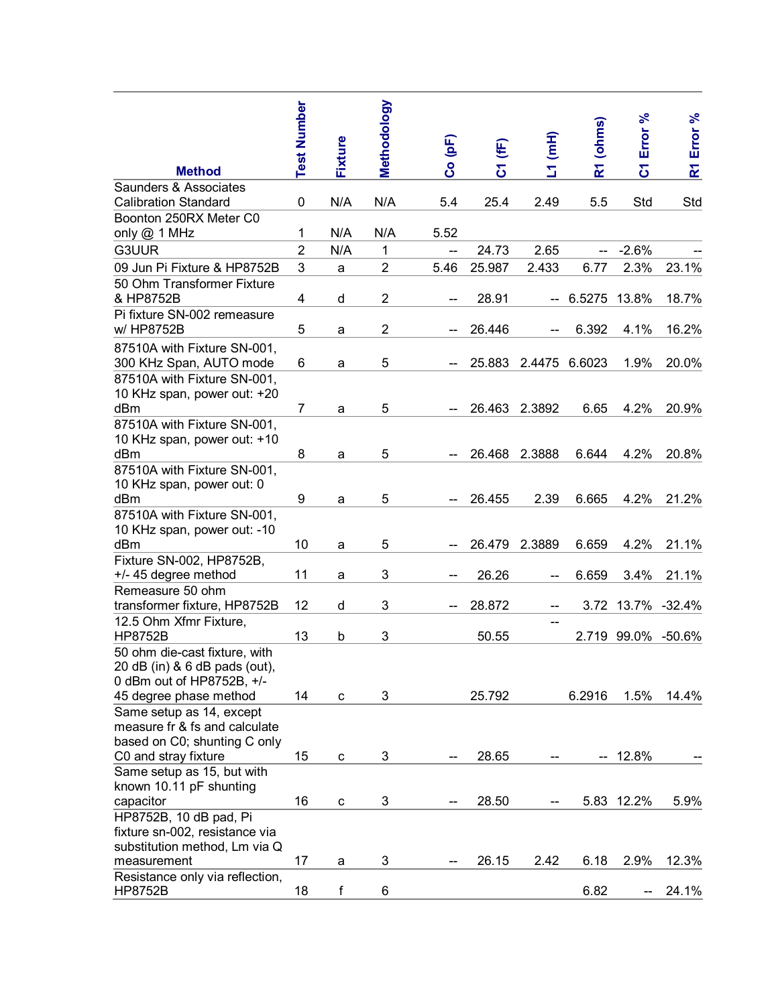|                                                                                             | <b>Test Number</b> | Fixture | Methodology             | Co (pF) | C1 (fF) | $L1$ (mH) | R1 (ohms)                | Error %                 | Error %              |
|---------------------------------------------------------------------------------------------|--------------------|---------|-------------------------|---------|---------|-----------|--------------------------|-------------------------|----------------------|
| <b>Method</b>                                                                               |                    |         |                         |         |         |           |                          | $\overline{\mathbf{c}}$ | $\mathbf{\tilde{z}}$ |
| Saunders & Associates                                                                       |                    |         |                         |         |         |           |                          |                         |                      |
| <b>Calibration Standard</b><br>Boonton 250RX Meter C0                                       | 0                  | N/A     | N/A                     | 5.4     | 25.4    | 2.49      | 5.5                      | Std                     | Std                  |
| only @ 1 MHz                                                                                | 1                  | N/A     | N/A                     | 5.52    |         |           |                          |                         |                      |
| G3UUR                                                                                       | $\overline{2}$     |         | 1                       |         | 24.73   | 2.65      |                          | $-2.6%$                 |                      |
|                                                                                             |                    | N/A     |                         | --      |         |           |                          |                         |                      |
| 09 Jun Pi Fixture & HP8752B                                                                 | 3                  | a       | $\overline{2}$          | 5.46    | 25.987  | 2.433     | 6.77                     | 2.3%                    | 23.1%                |
| 50 Ohm Transformer Fixture                                                                  |                    |         |                         |         |         |           |                          |                         |                      |
| & HP8752B                                                                                   | 4                  | d       | $\overline{\mathbf{c}}$ |         | 28.91   |           | 6.5275                   | 13.8%                   | 18.7%                |
| Pi fixture SN-002 remeasure<br>w/ HP8752B                                                   | 5                  | a       | $\overline{2}$          |         | 26.446  |           | 6.392                    | 4.1%                    | 16.2%                |
|                                                                                             |                    |         |                         |         |         |           |                          |                         |                      |
| 87510A with Fixture SN-001,                                                                 |                    |         |                         |         |         |           |                          |                         |                      |
| 300 KHz Span, AUTO mode                                                                     | 6                  | a       | 5                       |         | 25.883  | 2.4475    | 6.6023                   | 1.9%                    | 20.0%                |
| 87510A with Fixture SN-001,<br>10 KHz span, power out: +20                                  |                    |         |                         |         |         |           |                          |                         |                      |
| dBm                                                                                         | $\overline{7}$     | a       | 5                       |         | 26.463  | 2.3892    | 6.65                     | 4.2%                    | 20.9%                |
| 87510A with Fixture SN-001,                                                                 |                    |         |                         |         |         |           |                          |                         |                      |
| 10 KHz span, power out: +10                                                                 |                    |         |                         |         |         |           |                          |                         |                      |
| dBm                                                                                         | 8                  | a       | 5                       |         | 26.468  | 2.3888    | 6.644                    | 4.2%                    | 20.8%                |
| 87510A with Fixture SN-001,                                                                 |                    |         |                         |         |         |           |                          |                         |                      |
| 10 KHz span, power out: 0                                                                   |                    |         |                         |         |         |           |                          |                         |                      |
| dBm                                                                                         | 9                  | a       | 5                       |         | 26.455  | 2.39      | 6.665                    | 4.2%                    | 21.2%                |
| 87510A with Fixture SN-001,                                                                 |                    |         |                         |         |         |           |                          |                         |                      |
| 10 KHz span, power out: -10                                                                 |                    |         |                         |         |         |           |                          |                         |                      |
| dBm                                                                                         | 10                 | а       | 5                       |         | 26.479  | 2.3889    | 6.659                    | 4.2%                    | 21.1%                |
| Fixture SN-002, HP8752B,                                                                    |                    |         |                         |         |         |           |                          |                         |                      |
| +/- 45 degree method                                                                        | 11                 | а       | 3                       |         | 26.26   |           | 6.659                    | 3.4%                    | 21.1%                |
| Remeasure 50 ohm                                                                            |                    |         |                         |         |         |           |                          |                         |                      |
| transformer fixture, HP8752B                                                                | 12                 | d       | 3                       |         | 28.872  |           |                          | 3.72 13.7% -32.4%       |                      |
| 12.5 Ohm Xfmr Fixture,                                                                      |                    |         |                         |         |         |           |                          |                         |                      |
| <b>HP8752B</b>                                                                              | 13                 | b       | 3                       |         | 50.55   |           |                          | 2.719 99.0%             | -50.6%               |
| 50 ohm die-cast fixture, with<br>20 dB (in) & 6 dB pads (out),<br>0 dBm out of HP8752B, +/- |                    |         |                         |         |         |           |                          |                         |                      |
| 45 degree phase method                                                                      | 14                 | C       | 3                       |         | 25.792  |           | 6.2916                   | 1.5%                    | 14.4%                |
| Same setup as 14, except                                                                    |                    |         |                         |         |         |           |                          |                         |                      |
| measure fr & fs and calculate                                                               |                    |         |                         |         |         |           |                          |                         |                      |
| based on C0; shunting C only                                                                |                    |         |                         |         |         |           |                          |                         |                      |
| C0 and stray fixture                                                                        | 15                 | C       | 3                       | --      | 28.65   |           | $\overline{\phantom{a}}$ | 12.8%                   |                      |
| Same setup as 15, but with<br>known 10.11 pF shunting                                       |                    |         |                         |         |         |           |                          |                         |                      |
| capacitor                                                                                   | 16                 | C       | 3                       | --      | 28.50   |           |                          | 5.83 12.2%              | 5.9%                 |
| HP8752B, 10 dB pad, Pi                                                                      |                    |         |                         |         |         |           |                          |                         |                      |
| fixture sn-002, resistance via                                                              |                    |         |                         |         |         |           |                          |                         |                      |
| substitution method, Lm via Q                                                               |                    |         |                         |         |         |           |                          |                         |                      |
| measurement                                                                                 | 17                 | a       | 3                       |         | 26.15   | 2.42      | 6.18                     | 2.9%                    | 12.3%                |
| Resistance only via reflection,<br><b>HP8752B</b>                                           | 18                 | f       | 6                       |         |         |           | 6.82                     |                         | 24.1%                |
|                                                                                             |                    |         |                         |         |         |           |                          |                         |                      |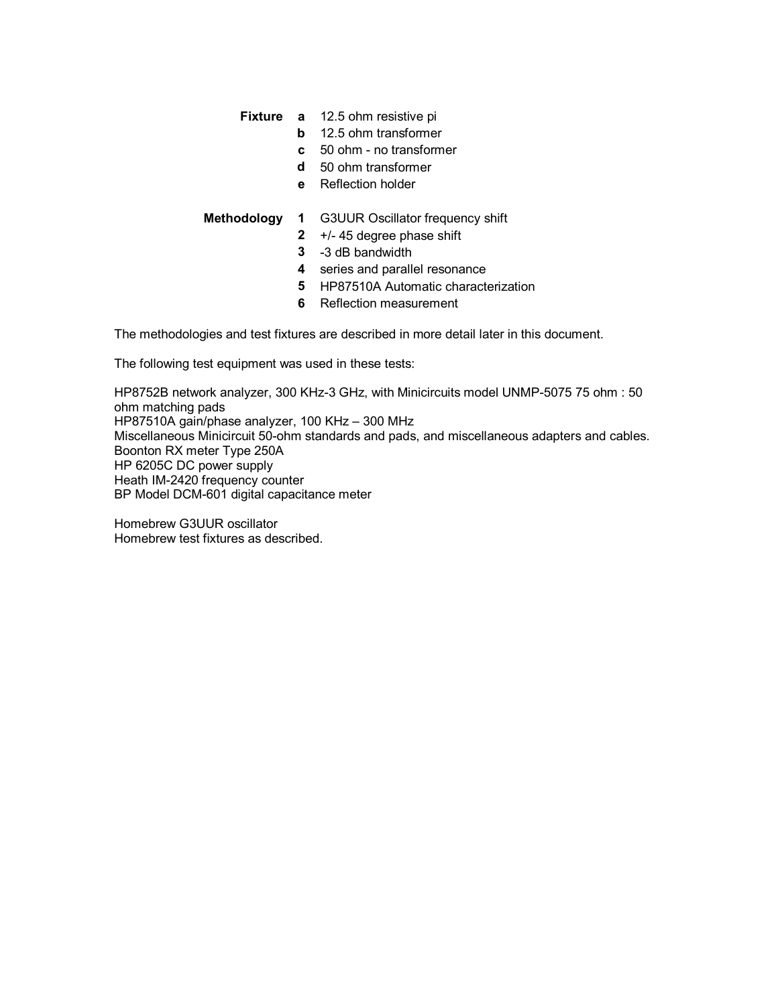## **Fixture a** 12.5 ohm resistive pi

- **b** 12.5 ohm transformer
- **c** 50 ohm no transformer
- **d** 50 ohm transformer
- **e** Reflection holder

- **Methodology 1** G3UUR Oscillator frequency shift
	- **2** +/- 45 degree phase shift
	- **3** -3 dB bandwidth
	- **4** series and parallel resonance
	- **5** HP87510A Automatic characterization
	- **6** Reflection measurement

The methodologies and test fixtures are described in more detail later in this document.

The following test equipment was used in these tests:

HP8752B network analyzer, 300 KHz-3 GHz, with Minicircuits model UNMP-5075 75 ohm : 50 ohm matching pads HP87510A gain/phase analyzer, 100 KHz – 300 MHz Miscellaneous Minicircuit 50-ohm standards and pads, and miscellaneous adapters and cables. Boonton RX meter Type 250A HP 6205C DC power supply Heath IM-2420 frequency counter BP Model DCM-601 digital capacitance meter

Homebrew G3UUR oscillator Homebrew test fixtures as described.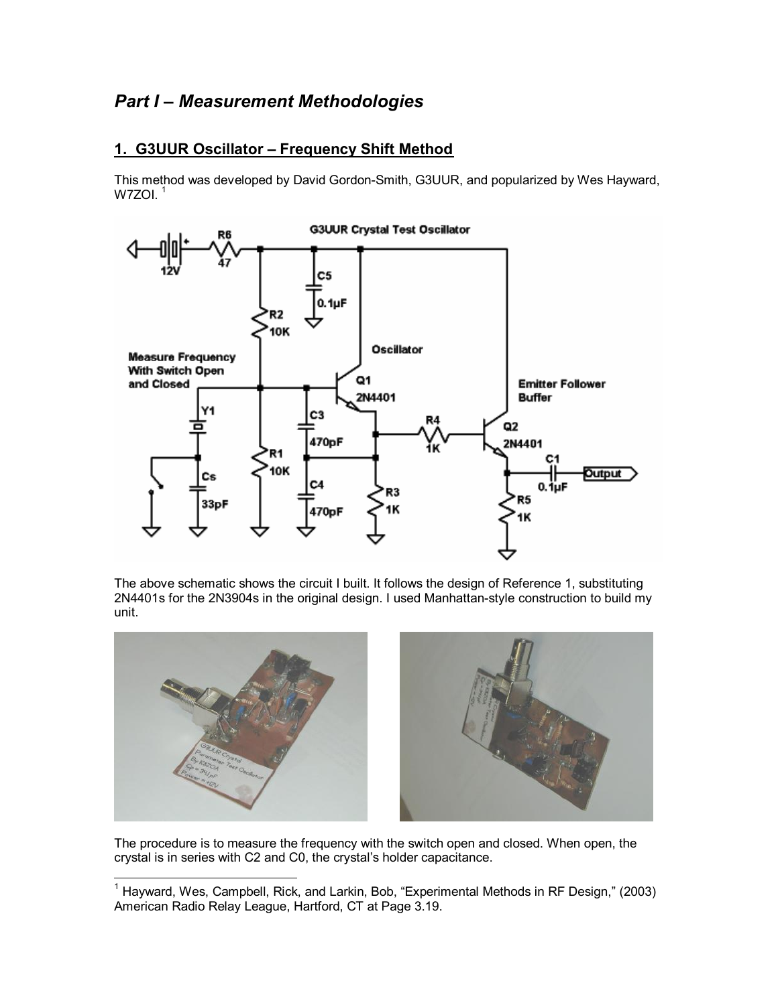# *Part I – Measurement Methodologies*

## **1. G3UUR Oscillator – Frequency Shift Method**

This method was developed by David Gordon-Smith, G3UUR, and popularized by Wes Hayward, W7ZOI. $^\mathrm{1}$ 



The above schematic shows the circuit I built. It follows the design of Reference 1, substituting 2N4401s for the 2N3904s in the original design. I used Manhattan-style construction to build my unit.



The procedure is to measure the frequency with the switch open and closed. When open, the crystal is in series with C2 and C0, the crystal's holder capacitance.

 $\overline{\phantom{a}}$ <sup>1</sup> Hayward, Wes, Campbell, Rick, and Larkin, Bob, "Experimental Methods in RF Design," (2003) American Radio Relay League, Hartford, CT at Page 3.19.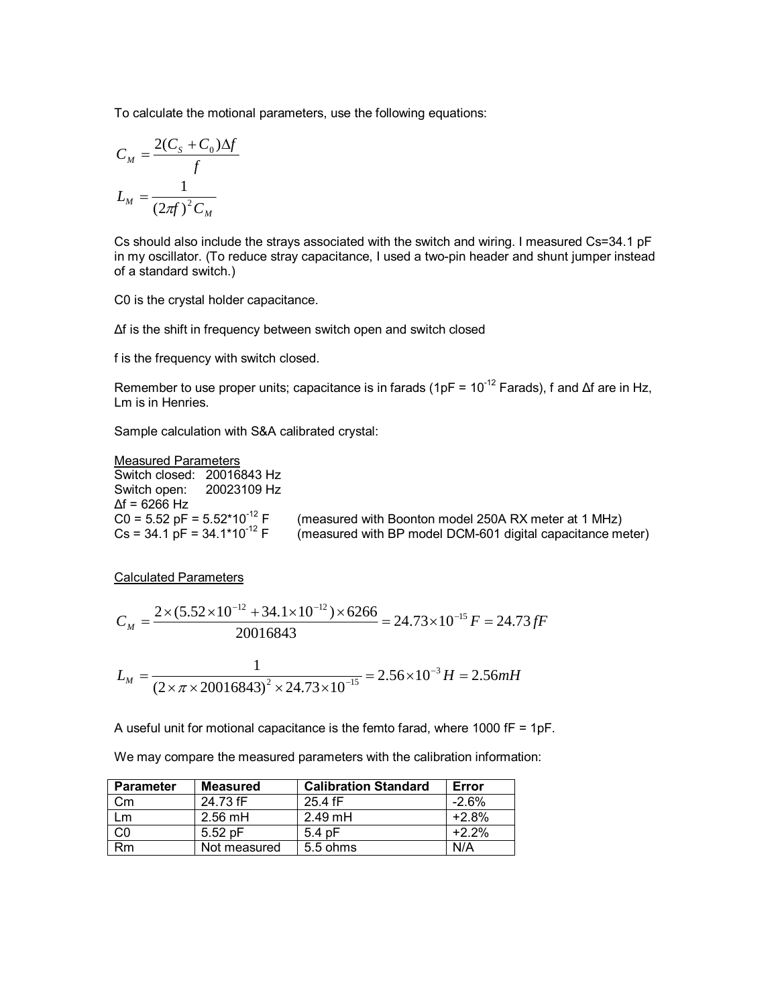To calculate the motional parameters, use the following equations:

$$
C_M = \frac{2(C_S + C_0)\Delta f}{f}
$$

$$
L_M = \frac{1}{(2\pi f)^2 C_M}
$$

Cs should also include the strays associated with the switch and wiring. I measured Cs=34.1 pF in my oscillator. (To reduce stray capacitance, I used a two-pin header and shunt jumper instead of a standard switch.)

C0 is the crystal holder capacitance.

Δf is the shift in frequency between switch open and switch closed

f is the frequency with switch closed.

Remember to use proper units; capacitance is in farads (1pF =  $10^{-12}$  Farads), f and  $\Delta f$  are in Hz, Lm is in Henries.

Sample calculation with S&A calibrated crystal:

Measured Parameters Switch closed: 20016843 Hz Switch open: 20023109 Hz  $\Delta f = 6266$  Hz<br>C0 = 5.52 pF = 5.52\*10<sup>-12</sup> F C0 = 5.52 pF = 5.52\*10<sup>-12</sup> F (measured with Boonton model 250A RX meter at 1 MHz)<br>Cs = 34.1 pF = 34.1\*10<sup>-12</sup> F (measured with BP model DCM-601 digital capacitance me (measured with BP model DCM-601 digital capacitance meter)

Calculated Parameters

$$
C_M = \frac{2 \times (5.52 \times 10^{-12} + 34.1 \times 10^{-12}) \times 6266}{20016843} = 24.73 \times 10^{-15} F = 24.73 fF
$$

$$
L_M = \frac{1}{(2 \times \pi \times 20016843)^2 \times 24.73 \times 10^{-15}} = 2.56 \times 10^{-3} H = 2.56 mH
$$

A useful unit for motional capacitance is the femto farad, where 1000 fF = 1pF.

We may compare the measured parameters with the calibration information:

| <b>Parameter</b> | Measured     | <b>Calibration Standard</b> | Error   |
|------------------|--------------|-----------------------------|---------|
| Сm               | 24.73 fF     | 25.4 fF                     | $-2.6%$ |
| l m              | $2.56$ mH    | $2.49$ mH                   | $+2.8%$ |
|                  | $5.52$ pF    | $5.4$ pF                    | $+2.2%$ |
| Rm               | Not measured | $5.5 \text{ ohms}$          | N/A     |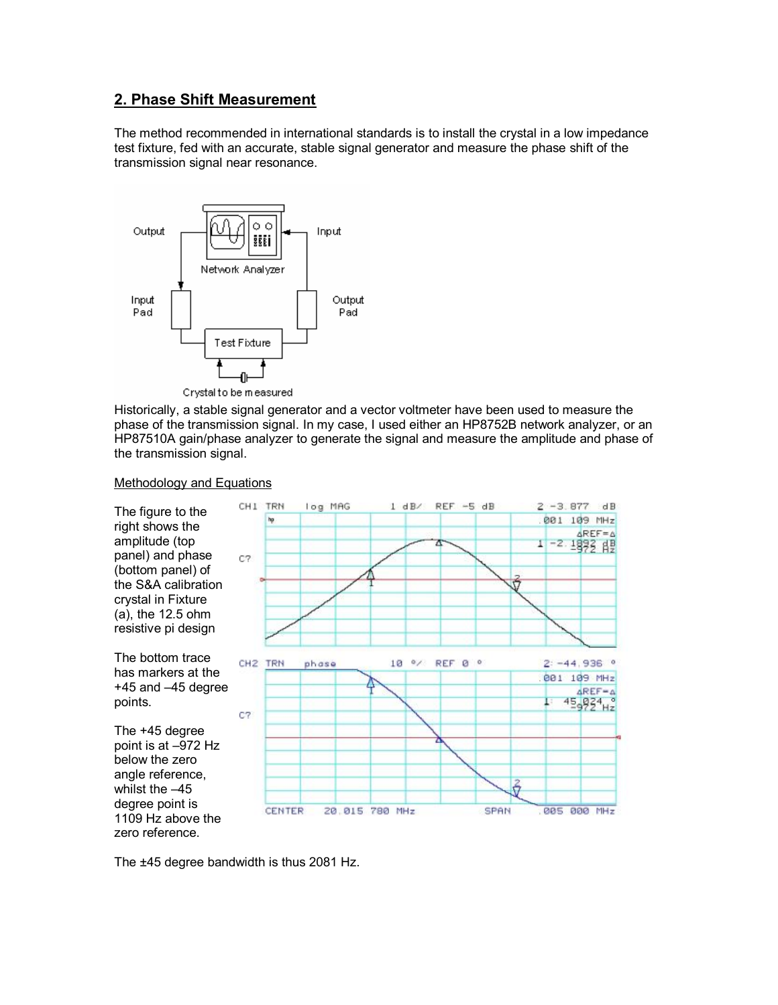## **2. Phase Shift Measurement**

The method recommended in international standards is to install the crystal in a low impedance test fixture, fed with an accurate, stable signal generator and measure the phase shift of the transmission signal near resonance.



Crystal to be measured

Historically, a stable signal generator and a vector voltmeter have been used to measure the phase of the transmission signal. In my case, I used either an HP8752B network analyzer, or an HP87510A gain/phase analyzer to generate the signal and measure the amplitude and phase of the transmission signal.

### Methodology and Equations



The ±45 degree bandwidth is thus 2081 Hz.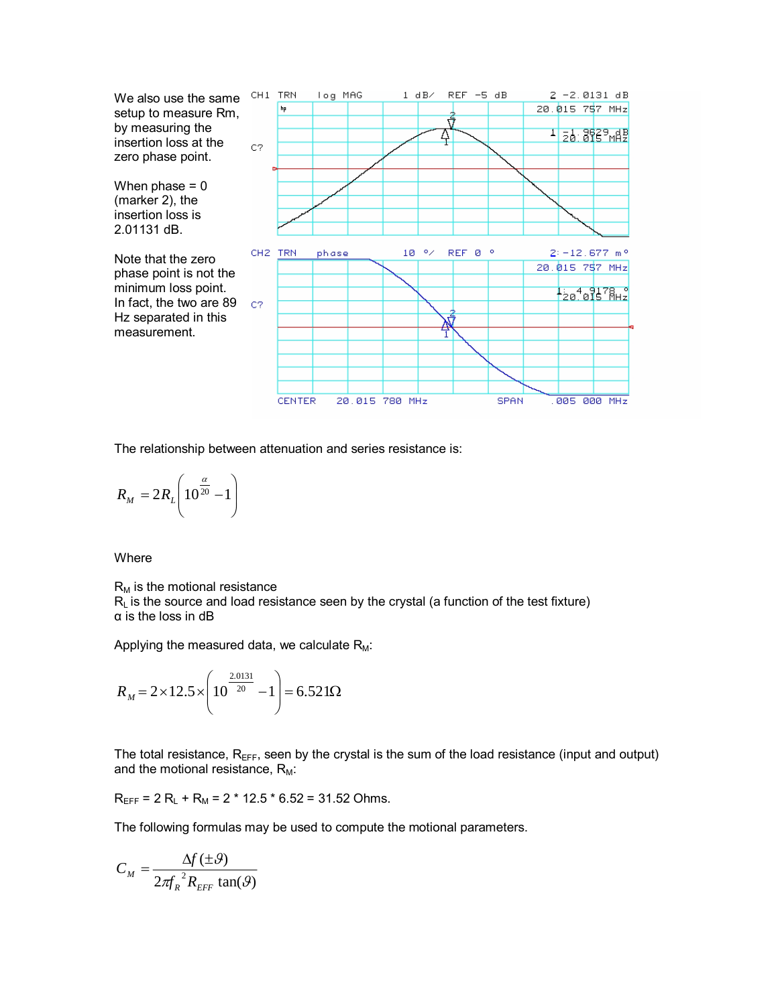

The relationship between attenuation and series resistance is:

$$
R_M = 2R_L \left( 10^{\frac{\alpha}{20}} - 1 \right)
$$

Where

 $R_M$  is the motional resistance  $R<sub>L</sub>$  is the source and load resistance seen by the crystal (a function of the test fixture) α is the loss in dB

Applying the measured data, we calculate  $R_M$ :

$$
R_M = 2 \times 12.5 \times \left(10^{\frac{2.0131}{20}} - 1\right) = 6.521 \Omega
$$

The total resistance,  $R_{EFF}$ , seen by the crystal is the sum of the load resistance (input and output) and the motional resistance,  $R_M$ :

 $R_{EFF}$  = 2  $R_L$  +  $R_M$  = 2  $*$  12.5  $*$  6.52 = 31.52 Ohms.

The following formulas may be used to compute the motional parameters.

$$
C_M = \frac{\Delta f(\pm \mathcal{G})}{2\pi f_R^2 R_{EFF} \tan(\mathcal{G})}
$$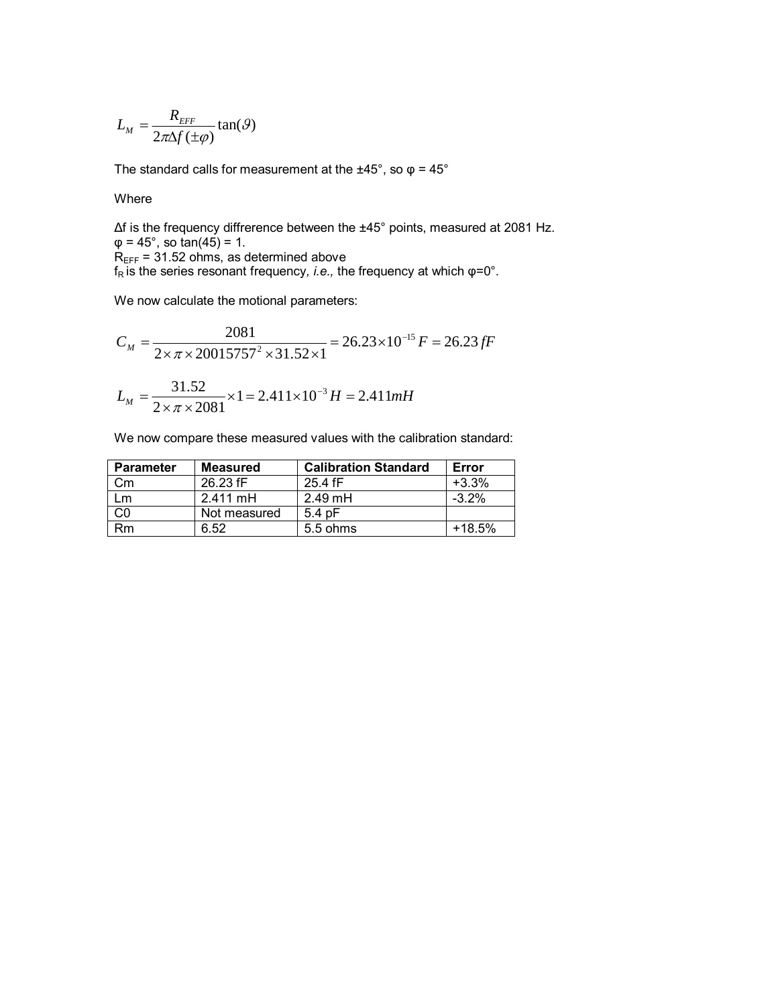$$
L_M = \frac{R_{\text{EFF}}}{2\pi\Delta f(\pm \varphi)} \tan(\vartheta)
$$

The standard calls for measurement at the  $\pm 45^{\circ}$ , so  $\varphi = 45^{\circ}$ 

Where

Δf is the frequency diffrerence between the ±45° points, measured at 2081 Hz.  $\varphi = 45^{\circ}$ , so tan(45) = 1.  $R_{\text{EFF}}$  = 31.52 ohms, as determined above f<sub>R</sub> is the series resonant frequency, *i.e.*, the frequency at which φ=0°.

We now calculate the motional parameters:

$$
C_M = \frac{2081}{2 \times \pi \times 20015757^2 \times 31.52 \times 1} = 26.23 \times 10^{-15} F = 26.23 fF
$$
  

$$
L_M = \frac{31.52}{2 \times \pi \times 2081} \times 1 = 2.411 \times 10^{-3} H = 2.411 mH
$$

We now compare these measured values with the calibration standard:

| <b>Parameter</b> | Measured     | <b>Calibration Standard</b> | Error    |
|------------------|--------------|-----------------------------|----------|
| Сm               | 26.23 fF     | $25.4$ fF                   | $+3.3%$  |
| ∣m               | 2.411 mH     | $2.49$ mH                   | $-3.2\%$ |
|                  | Not measured | $5.4$ pF                    |          |
| Rm               | 6.52         | $5.5 \text{ ohms}$          | $+18.5%$ |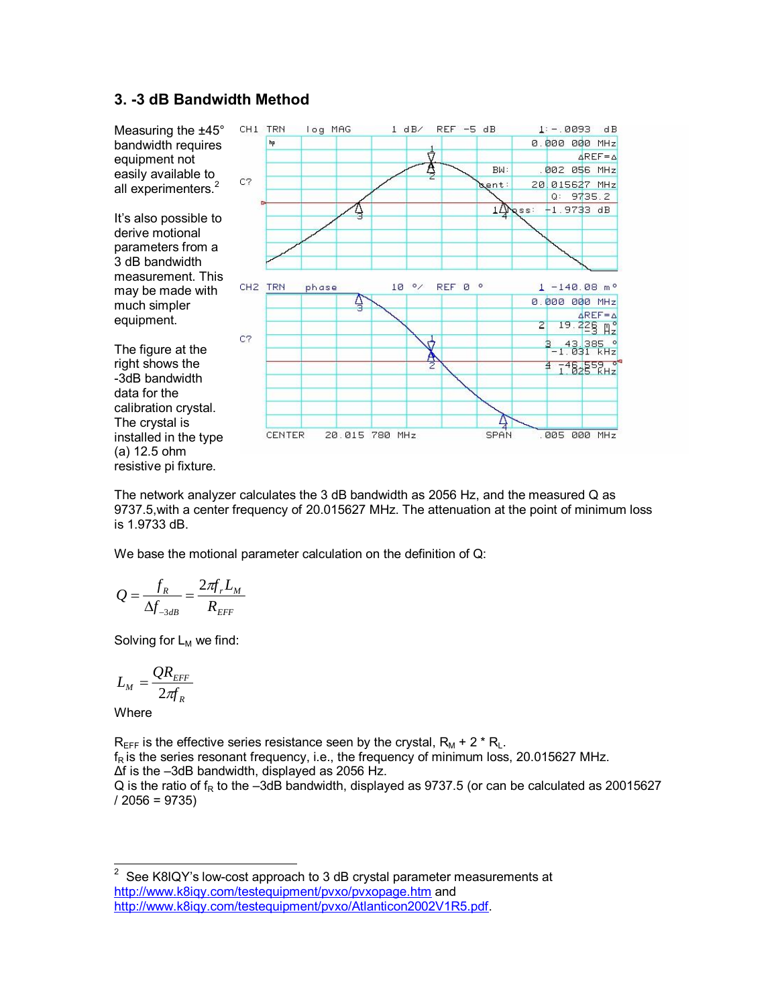## **3. -3 dB Bandwidth Method**



The network analyzer calculates the 3 dB bandwidth as 2056 Hz, and the measured Q as 9737.5,with a center frequency of 20.015627 MHz. The attenuation at the point of minimum loss is 1.9733 dB.

We base the motional parameter calculation on the definition of Q:

$$
Q = \frac{f_R}{\Delta f_{\text{3dB}}} = \frac{2\pi f_r L_M}{R_{\text{EFF}}}
$$

Solving for  $L_M$  we find:

$$
L_{_M}=\frac{QR_{EFF}}{2\pi f_{_R}}
$$

**Where** 

 $R_{\text{EFF}}$  is the effective series resistance seen by the crystal,  $R_M + 2 \cdot R_L$ .  $f_R$  is the series resonant frequency, i.e., the frequency of minimum loss, 20.015627 MHz. Δf is the –3dB bandwidth, displayed as 2056 Hz. Q is the ratio of  $f_R$  to the –3dB bandwidth, displayed as 9737.5 (or can be calculated as 20015627  $/ 2056 = 9735$ 

 $\frac{1}{2}$  See K8IQY's low-cost approach to 3 dB crystal parameter measurements at <http://www.k8iqy.com/testequipment/pvxo/pvxopage.htm> and [http://www.k8iqy.com/testequipment/pvxo/Atlanticon2002V1R5.pdf.](http://www.k8iqy.com/testequipment/pvxo/Atlanticon2002V1R5.pdf)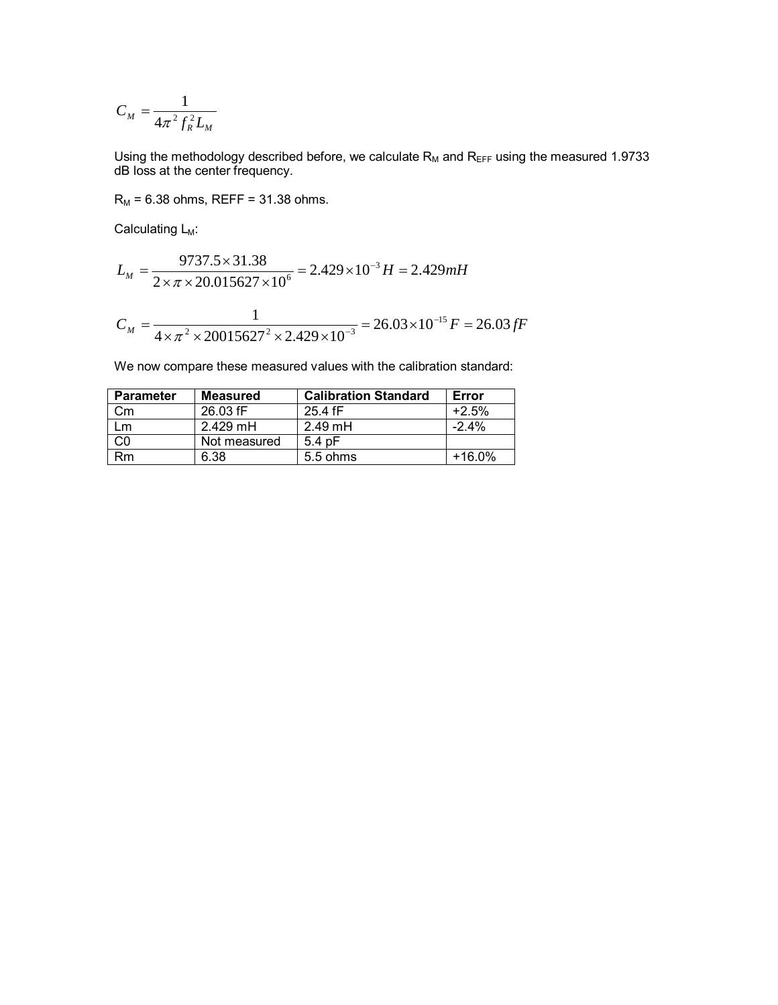$$
C_M = \frac{1}{4\pi^2 f_R^2 L_M}
$$

Using the methodology described before, we calculate  $R_M$  and  $R_{\text{EFF}}$  using the measured 1.9733 dB loss at the center frequency.

 $R_M = 6.38$  ohms, REFF = 31.38 ohms.

Calculating  $L_M$ :

$$
L_M = \frac{9737.5 \times 31.38}{2 \times \pi \times 20.015627 \times 10^6} = 2.429 \times 10^{-3} H = 2.429 mH
$$
  

$$
C_M = \frac{1}{4 \times \pi^2 \times 20015627^2 \times 2.429 \times 10^{-3}} = 26.03 \times 10^{-15} F = 26.03 fF
$$

We now compare these measured values with the calibration standard:

| <b>Parameter</b> | <b>Measured</b> | <b>Calibration Standard</b> | Error   |
|------------------|-----------------|-----------------------------|---------|
| Сm               | 26.03 fF        | 25.4 fF                     | $+2.5%$ |
| m                | $2.429$ mH      | $2.49$ mH                   | $-2.4%$ |
| C0               | Not measured    | $5.4$ pF                    |         |
| Rm               | 6.38            | 5.5 ohms                    | +16.0%  |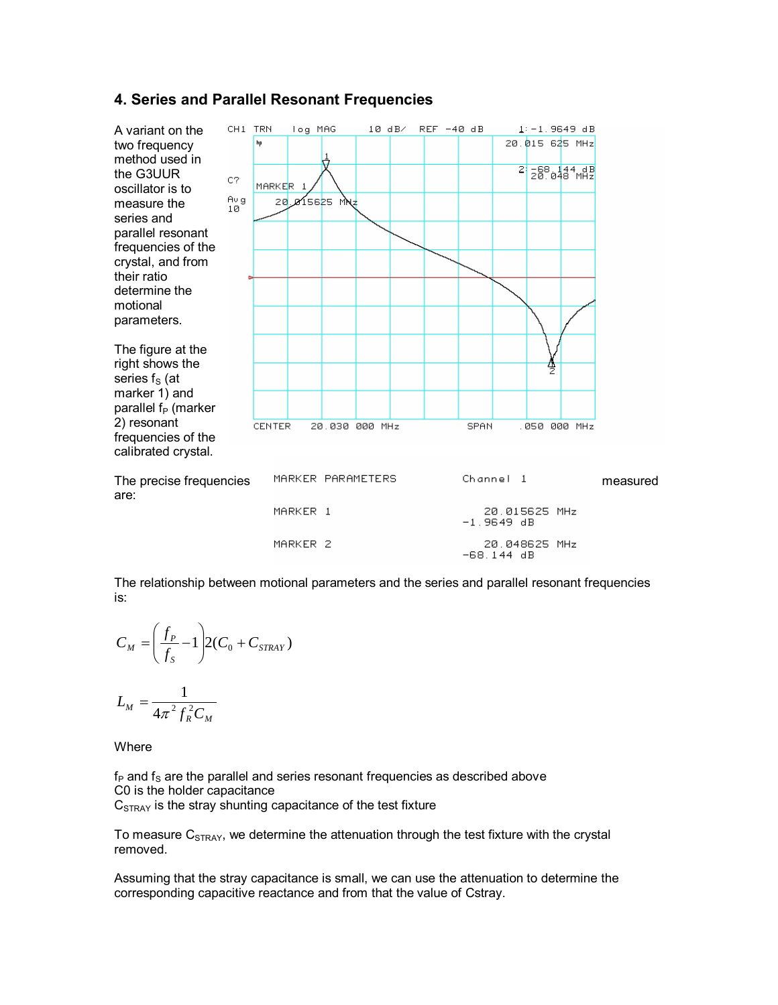## **4. Series and Parallel Resonant Frequencies**



The relationship between motional parameters and the series and parallel resonant frequencies is:

$$
C_M = \left(\frac{f_P}{f_S} - 1\right) 2(C_0 + C_{STRAY})
$$

$$
L_M = \frac{1}{4\pi^2 f_R^2 C_M}
$$

Where

 $f<sub>P</sub>$  and  $f<sub>S</sub>$  are the parallel and series resonant frequencies as described above C0 is the holder capacitance

 $C<sub>STRAY</sub>$  is the stray shunting capacitance of the test fixture

To measure  $C_{STRAY}$ , we determine the attenuation through the test fixture with the crystal removed.

Assuming that the stray capacitance is small, we can use the attenuation to determine the corresponding capacitive reactance and from that the value of Cstray.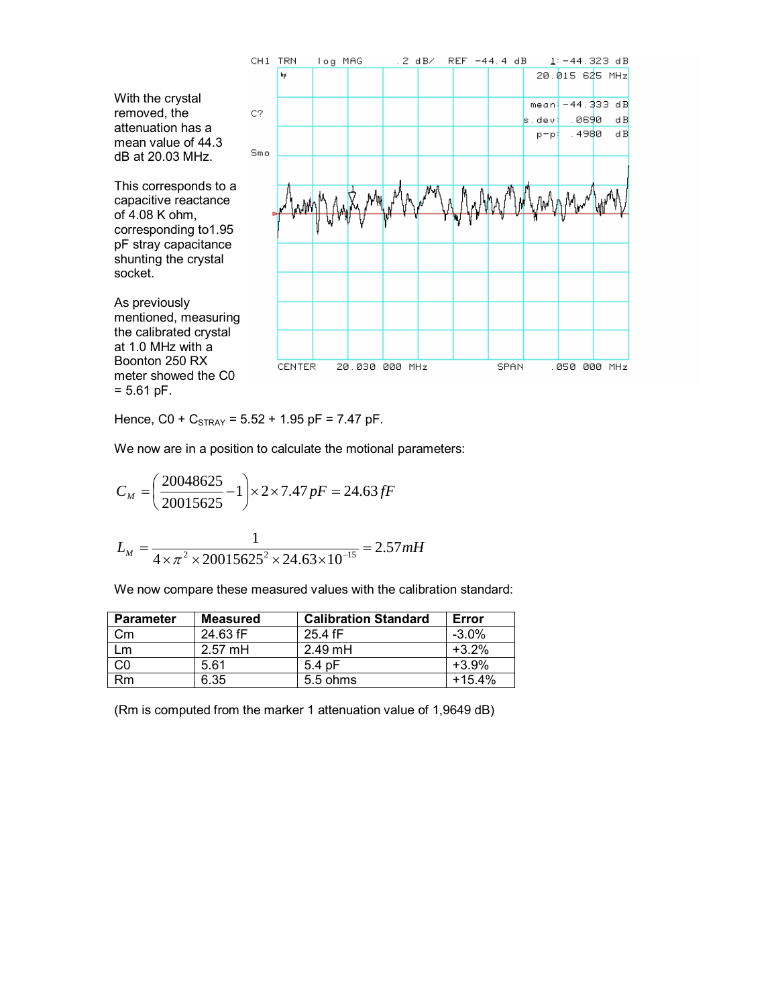

Hence,  $CO + C_{STRAY} = 5.52 + 1.95$  pF = 7.47 pF.

We now are in a position to calculate the motional parameters:

$$
C_M = \left(\frac{20048625}{20015625} - 1\right) \times 2 \times 7.47 \, pF = 24.63 \, fF
$$
\n
$$
L_M = \frac{1}{4 \times \pi^2 \times 20015625^2 \times 24.63 \times 10^{-15}} = 2.57 \, mH
$$

We now compare these measured values with the calibration standard:

| Parameter | Measured  | <b>Calibration Standard</b> | Error    |
|-----------|-----------|-----------------------------|----------|
| Сm        | 24.63 fF  | 25.4 fF                     | $-3.0\%$ |
| -m        | $2.57$ mH | $2.49$ mH                   | $+3.2%$  |
|           | 5.61      | $5.4$ pF                    | $+3.9%$  |
| Rm        | 6.35      | $5.5$ ohms                  | $+15.4%$ |

(Rm is computed from the marker 1 attenuation value of 1,9649 dB)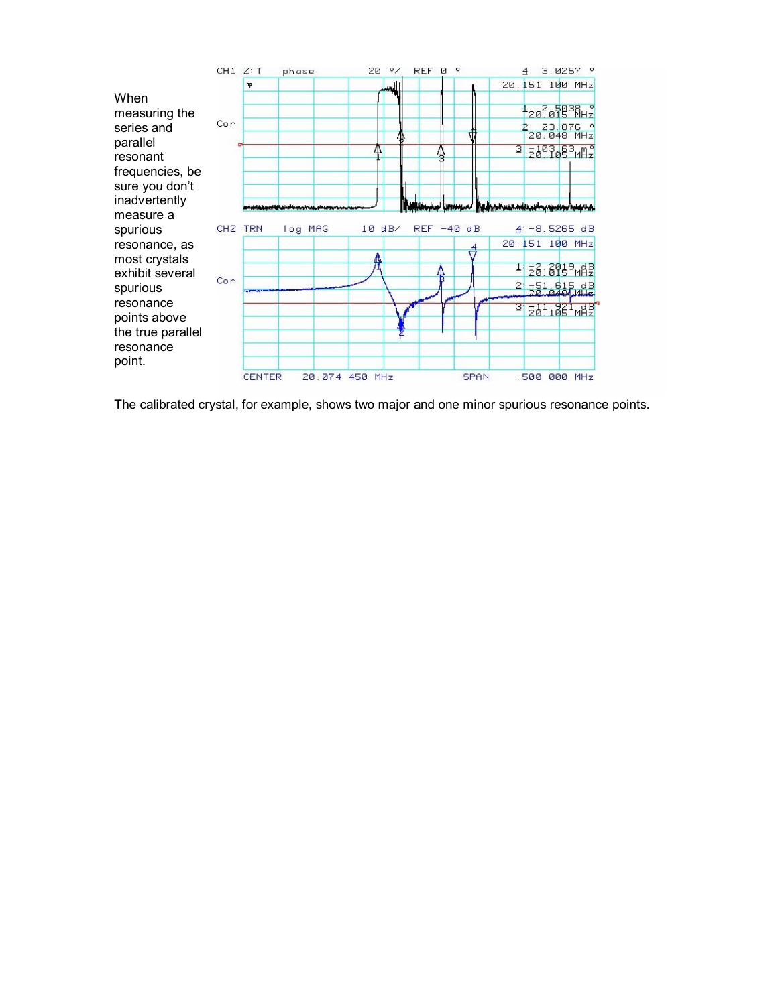

The calibrated crystal, for example, shows two major and one minor spurious resonance points.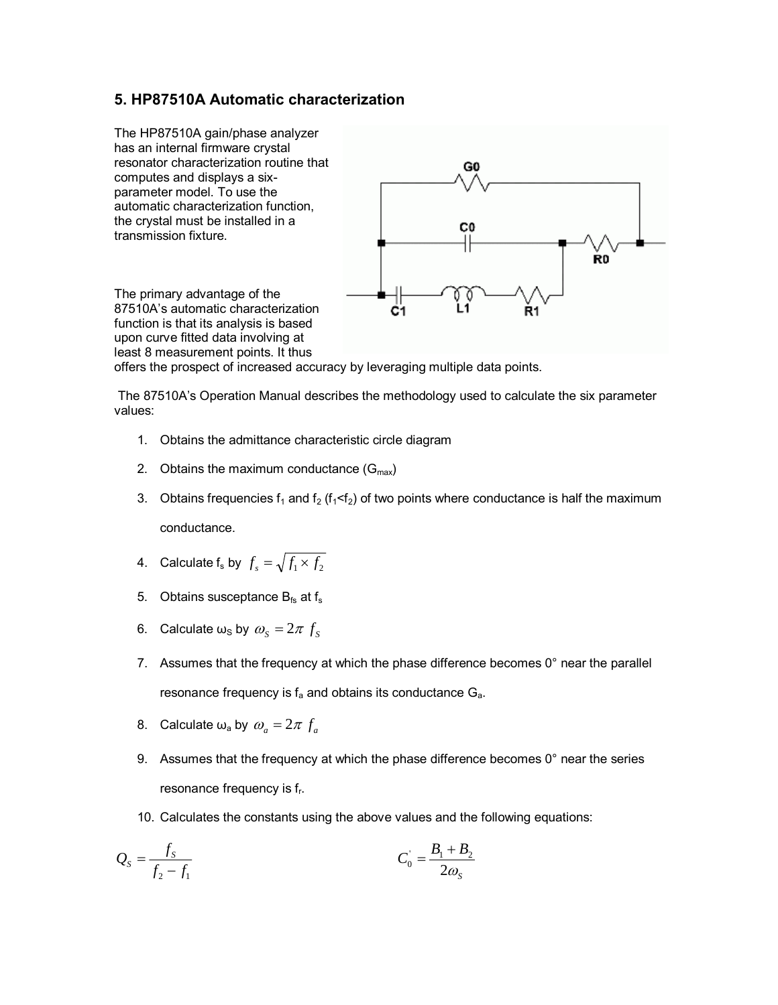## **5. HP87510A Automatic characterization**

The HP87510A gain/phase analyzer has an internal firmware crystal resonator characterization routine that computes and displays a sixparameter model. To use the automatic characterization function, the crystal must be installed in a transmission fixture.



The primary advantage of the 87510A's automatic characterization function is that its analysis is based upon curve fitted data involving at least 8 measurement points. It thus

offers the prospect of increased accuracy by leveraging multiple data points.

 The 87510A's Operation Manual describes the methodology used to calculate the six parameter values:

- 1. Obtains the admittance characteristic circle diagram
- 2. Obtains the maximum conductance  $(G<sub>max</sub>)$
- 3. Obtains frequencies  $f_1$  and  $f_2$  ( $f_1 < f_2$ ) of two points where conductance is half the maximum conductance.
- 4. Calculate  $\mathsf{f}_\mathsf{s}$  by  $f_\mathsf{s} = \sqrt{f_1 \times f_2}$
- 5. Obtains susceptance  $B_{fs}$  at  $f_s$
- 6. Calculate  $\omega_s$  by  $\omega_s = 2\pi f_s$
- 7. Assumes that the frequency at which the phase difference becomes  $0^\circ$  near the parallel resonance frequency is  $f_a$  and obtains its conductance  $G_a$ .
- 8. Calculate  $\omega_a$  by  $\omega_a = 2\pi f_a$
- 9. Assumes that the frequency at which the phase difference becomes  $0^\circ$  near the series resonance frequency is f<sub>r</sub>.
- 10. Calculates the constants using the above values and the following equations:

$$
Q_{S} = \frac{f_{S}}{f_{2} - f_{1}} \qquad C_{0} = \frac{B_{1} + B_{2}}{2\omega_{S}}
$$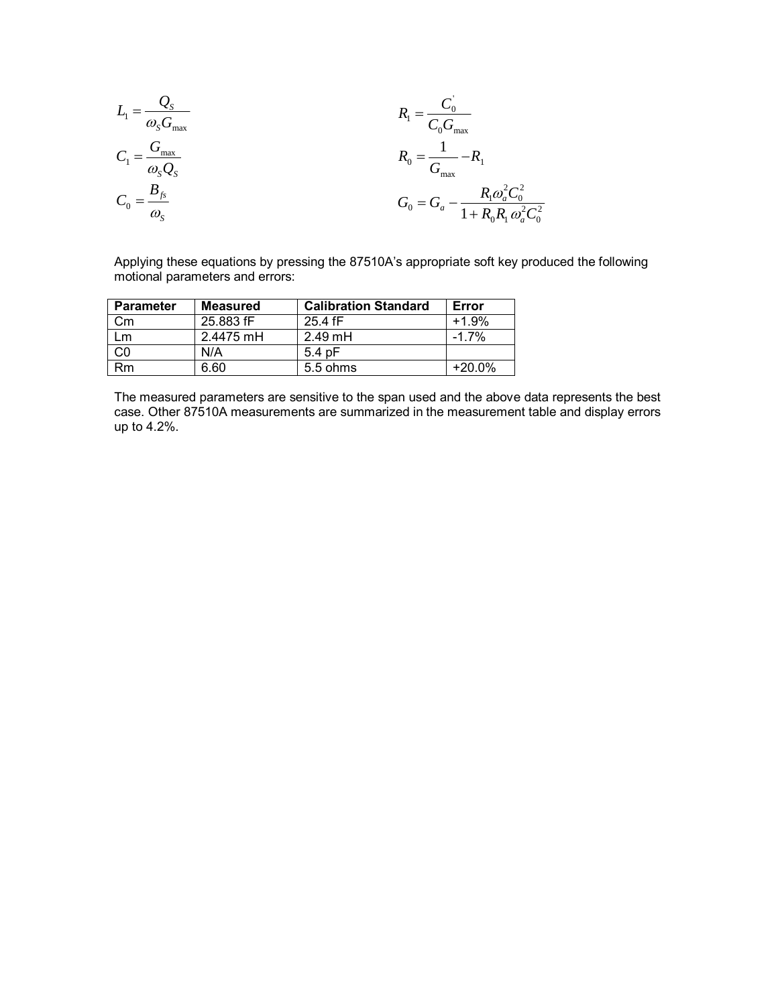$$
L_1 = \frac{Q_S}{\omega_S G_{\text{max}}}
$$
\n
$$
C_1 = \frac{G_{\text{max}}}{\omega_S Q_S}
$$
\n
$$
R_0 = \frac{1}{G_{\text{max}}}
$$
\n
$$
R_0 = \frac{1}{G_{\text{max}}}
$$
\n
$$
R_1 = \frac{C_0}{C_0 G_{\text{max}}}
$$
\n
$$
R_0 = \frac{1}{G_{\text{max}}}
$$
\n
$$
R_1 = \frac{C_0}{C_0 G_{\text{max}}}
$$
\n
$$
R_0 = \frac{1}{G_{\text{max}}}
$$
\n
$$
R_1 = \frac{C_0}{C_0 G_{\text{max}}}
$$

Applying these equations by pressing the 87510A's appropriate soft key produced the following motional parameters and errors:

| <b>Parameter</b> | <b>Measured</b> | <b>Calibration Standard</b> | Error    |
|------------------|-----------------|-----------------------------|----------|
| Сm               | 25.883 fF       | 25.4 fF                     | $+1.9%$  |
| Lm               | 2.4475 mH       | $2.49$ mH                   | $-1.7%$  |
|                  | N/A             | $5.4$ pF                    |          |
| Rm               | 6.60            | 5.5 ohms                    | $+20.0%$ |

The measured parameters are sensitive to the span used and the above data represents the best case. Other 87510A measurements are summarized in the measurement table and display errors up to 4.2%.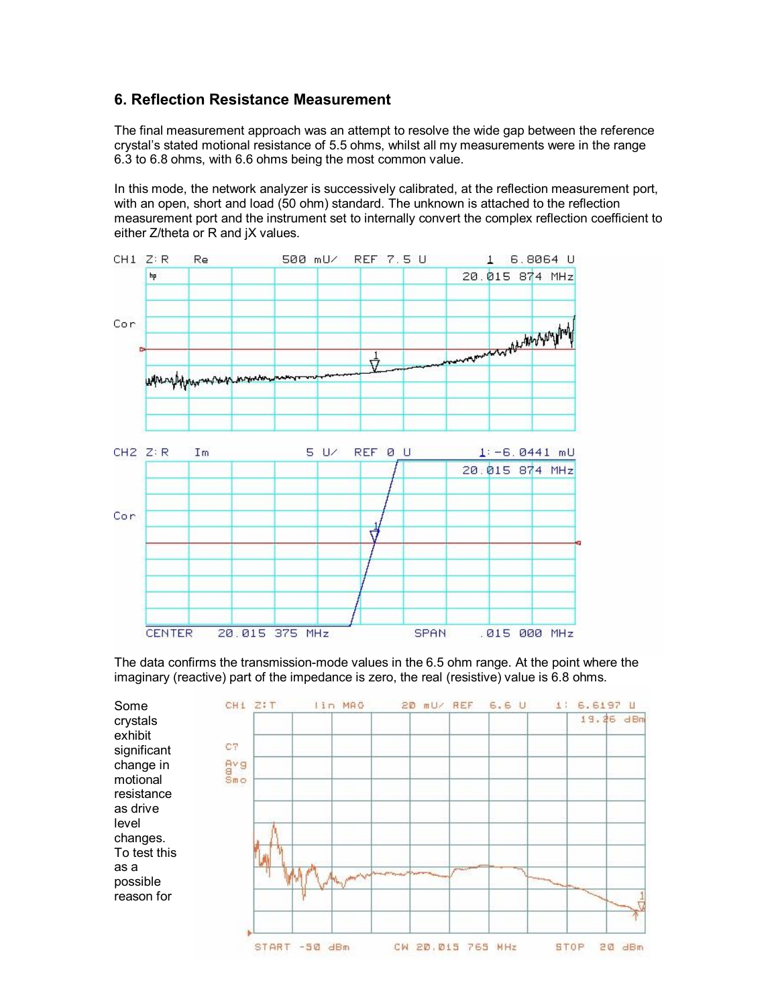## **6. Reflection Resistance Measurement**

The final measurement approach was an attempt to resolve the wide gap between the reference crystal's stated motional resistance of 5.5 ohms, whilst all my measurements were in the range 6.3 to 6.8 ohms, with 6.6 ohms being the most common value.

In this mode, the network analyzer is successively calibrated, at the reflection measurement port, with an open, short and load (50 ohm) standard. The unknown is attached to the reflection measurement port and the instrument set to internally convert the complex reflection coefficient to either Z/theta or R and jX values.



The data confirms the transmission-mode values in the 6.5 ohm range. At the point where the imaginary (reactive) part of the impedance is zero, the real (resistive) value is 6.8 ohms.

CH1 Z:T lin MAG 20 mU/ REF  $6.6<sub>U</sub>$ Some 1: 6.6197 U 19.26 dBm crystals exhibit CT significant avg change in motional  $Sm \circ$ resistance as drive level changes. To test this as a possible reason for START -50 dBm CW 20.015 765 MHz **STOP**  $20$  dBm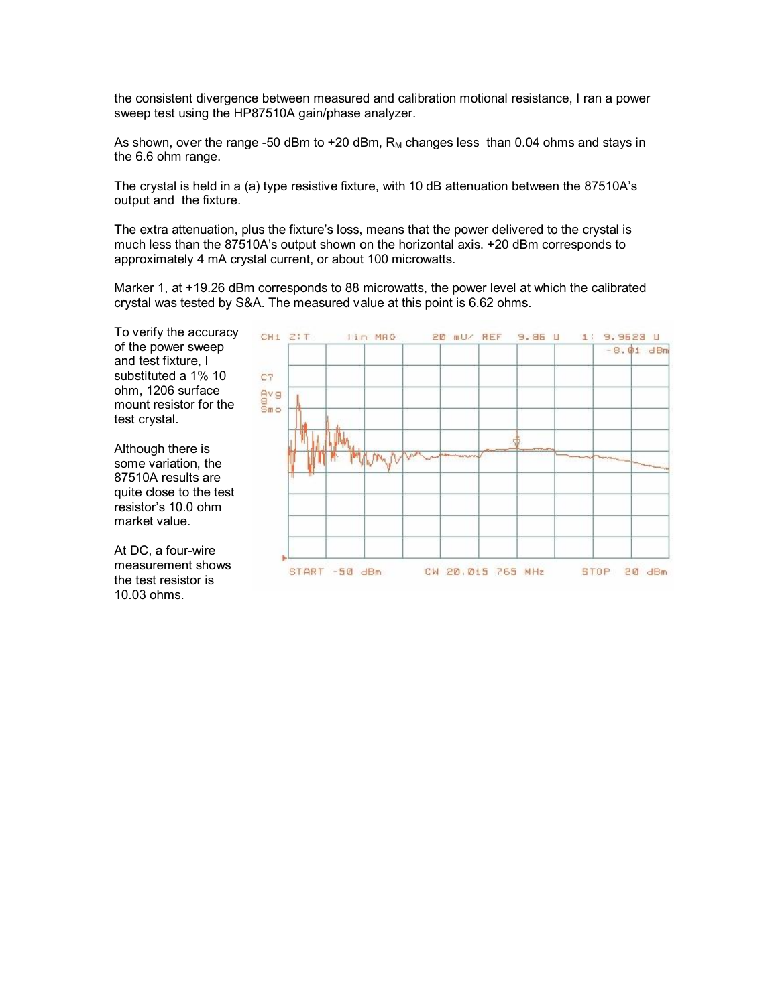the consistent divergence between measured and calibration motional resistance, I ran a power sweep test using the HP87510A gain/phase analyzer.

As shown, over the range -50 dBm to +20 dBm,  $R_M$  changes less than 0.04 ohms and stays in the 6.6 ohm range.

The crystal is held in a (a) type resistive fixture, with 10 dB attenuation between the 87510A's output and the fixture.

The extra attenuation, plus the fixture's loss, means that the power delivered to the crystal is much less than the 87510A's output shown on the horizontal axis. +20 dBm corresponds to approximately 4 mA crystal current, or about 100 microwatts.

Marker 1, at +19.26 dBm corresponds to 88 microwatts, the power level at which the calibrated crystal was tested by S&A. The measured value at this point is 6.62 ohms.

> CH1 ZIT lin MAG 20 mU/ REF  $9.86<sub>U</sub>$ 1: 9.9523 U  $-8.01$  dBm C7 eve<br>Smo START -50 dBm CW 20.015 765 MHz STOP 20 dBm

To verify the accuracy of the power sweep and test fixture, I substituted a 1% 10 ohm, 1206 surface mount resistor for the test crystal.

Although there is some variation, the 87510A results are quite close to the test resistor's 10.0 ohm market value.

At DC, a four-wire measurement shows the test resistor is 10.03 ohms.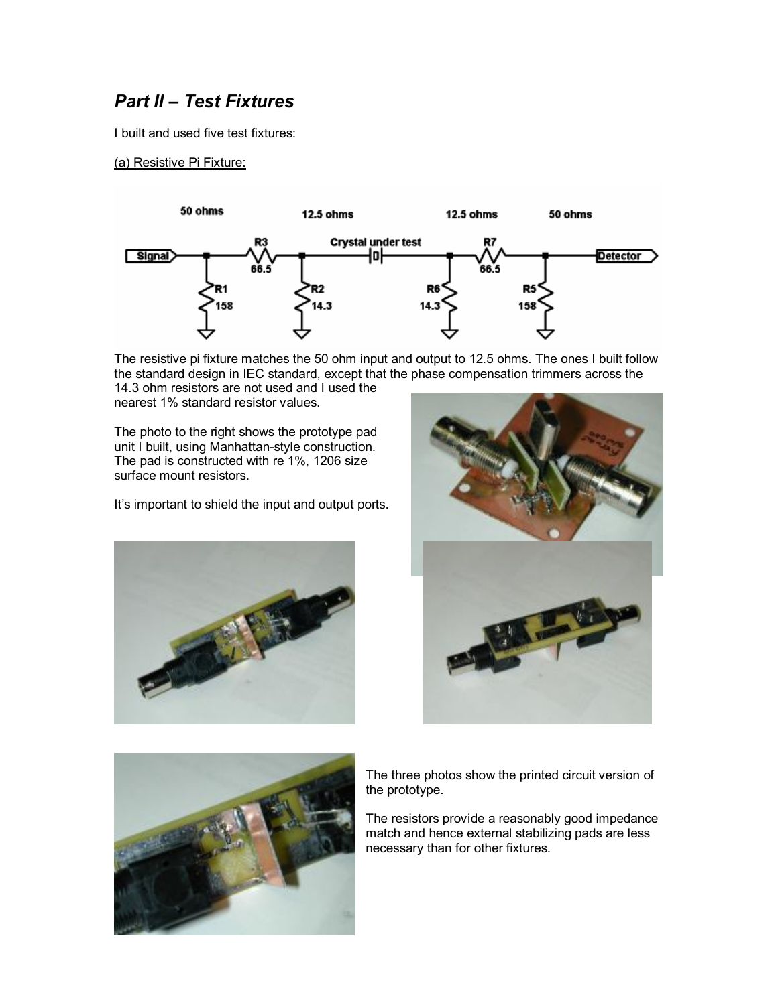# *Part II – Test Fixtures*

I built and used five test fixtures:

(a) Resistive Pi Fixture:



The resistive pi fixture matches the 50 ohm input and output to 12.5 ohms. The ones I built follow the standard design in IEC standard, except that the phase compensation trimmers across the 14.3 ohm resistors are not used and I used the

nearest 1% standard resistor values.

The photo to the right shows the prototype pad unit I built, using Manhattan-style construction. The pad is constructed with re 1%, 1206 size surface mount resistors.

It's important to shield the input and output ports.







The three photos show the printed circuit version of the prototype.

The resistors provide a reasonably good impedance match and hence external stabilizing pads are less necessary than for other fixtures.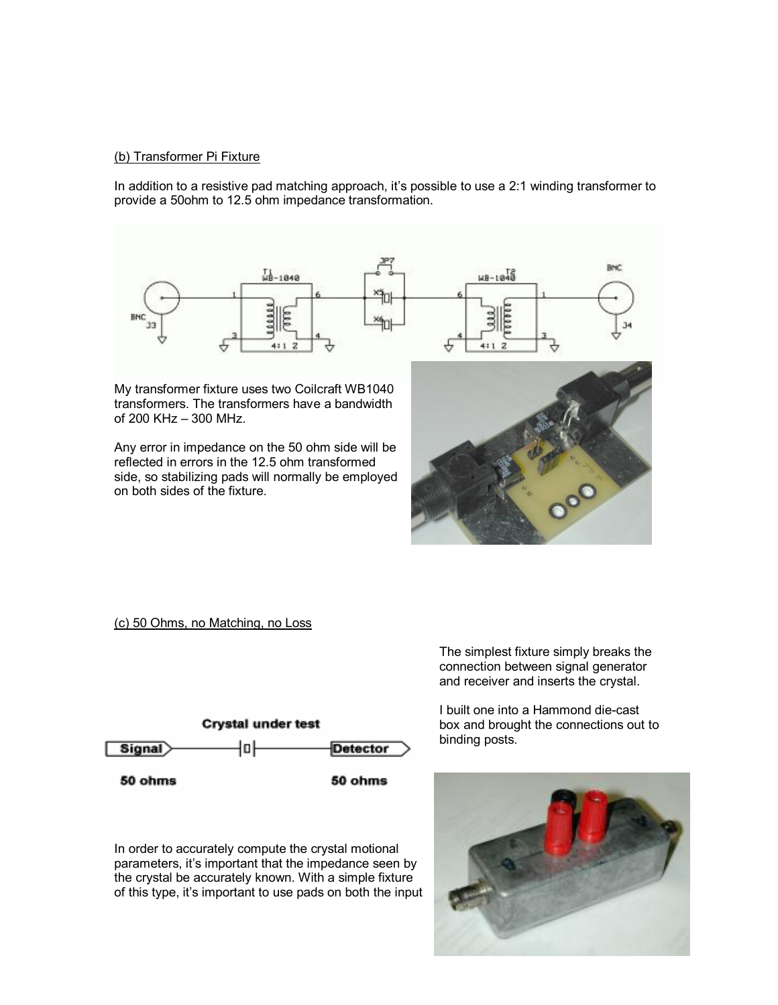#### (b) Transformer Pi Fixture

In addition to a resistive pad matching approach, it's possible to use a 2:1 winding transformer to provide a 50ohm to 12.5 ohm impedance transformation.



My transformer fixture uses two Coilcraft WB1040 transformers. The transformers have a bandwidth of 200 KHz – 300 MHz.

Any error in impedance on the 50 ohm side will be reflected in errors in the 12.5 ohm transformed side, so stabilizing pads will normally be employed on both sides of the fixture.



(c) 50 Ohms, no Matching, no Loss



In order to accurately compute the crystal motional parameters, it's important that the impedance seen by the crystal be accurately known. With a simple fixture of this type, it's important to use pads on both the input The simplest fixture simply breaks the connection between signal generator and receiver and inserts the crystal.

I built one into a Hammond die-cast box and brought the connections out to binding posts.